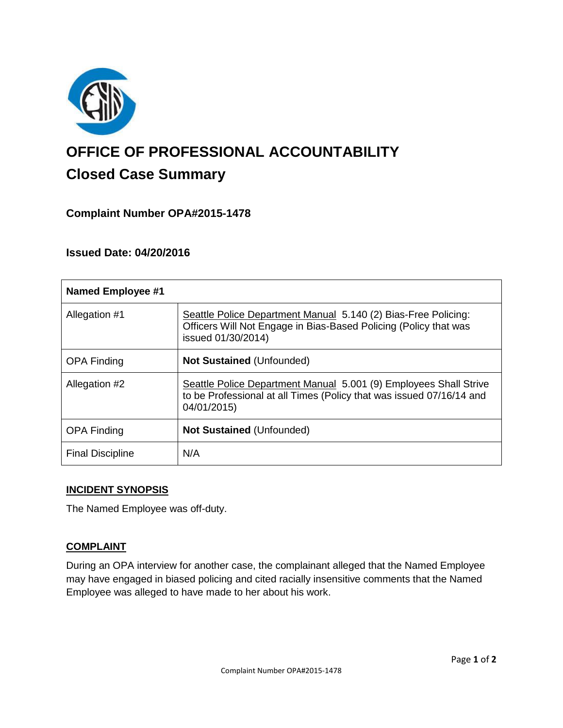

# **OFFICE OF PROFESSIONAL ACCOUNTABILITY Closed Case Summary**

## **Complaint Number OPA#2015-1478**

## **Issued Date: 04/20/2016**

| <b>Named Employee #1</b> |                                                                                                                                                          |
|--------------------------|----------------------------------------------------------------------------------------------------------------------------------------------------------|
| Allegation #1            | Seattle Police Department Manual 5.140 (2) Bias-Free Policing:<br>Officers Will Not Engage in Bias-Based Policing (Policy that was<br>issued 01/30/2014) |
| <b>OPA Finding</b>       | <b>Not Sustained (Unfounded)</b>                                                                                                                         |
| Allegation #2            | Seattle Police Department Manual 5.001 (9) Employees Shall Strive<br>to be Professional at all Times (Policy that was issued 07/16/14 and<br>04/01/2015) |
| <b>OPA Finding</b>       | <b>Not Sustained (Unfounded)</b>                                                                                                                         |
| <b>Final Discipline</b>  | N/A                                                                                                                                                      |

## **INCIDENT SYNOPSIS**

The Named Employee was off-duty.

## **COMPLAINT**

During an OPA interview for another case, the complainant alleged that the Named Employee may have engaged in biased policing and cited racially insensitive comments that the Named Employee was alleged to have made to her about his work.